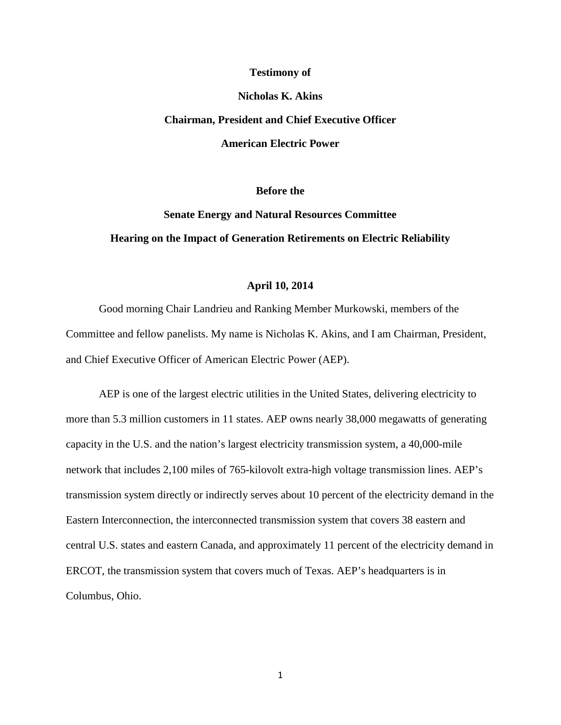#### **Testimony of**

#### **Nicholas K. Akins**

# **Chairman, President and Chief Executive Officer American Electric Power**

#### **Before the**

## **Senate Energy and Natural Resources Committee Hearing on the Impact of Generation Retirements on Electric Reliability**

#### **April 10, 2014**

Good morning Chair Landrieu and Ranking Member Murkowski, members of the Committee and fellow panelists. My name is Nicholas K. Akins, and I am Chairman, President, and Chief Executive Officer of American Electric Power (AEP).

AEP is one of the largest electric utilities in the United States, delivering electricity to more than 5.3 million customers in 11 states. AEP owns nearly 38,000 megawatts of generating capacity in the U.S. and the nation's largest electricity transmission system, a 40,000-mile network that includes 2,100 miles of 765-kilovolt extra-high voltage transmission lines. AEP's transmission system directly or indirectly serves about 10 percent of the electricity demand in the Eastern Interconnection, the interconnected transmission system that covers 38 eastern and central U.S. states and eastern Canada, and approximately 11 percent of the electricity demand in ERCOT, the transmission system that covers much of Texas. AEP's headquarters is in Columbus, Ohio.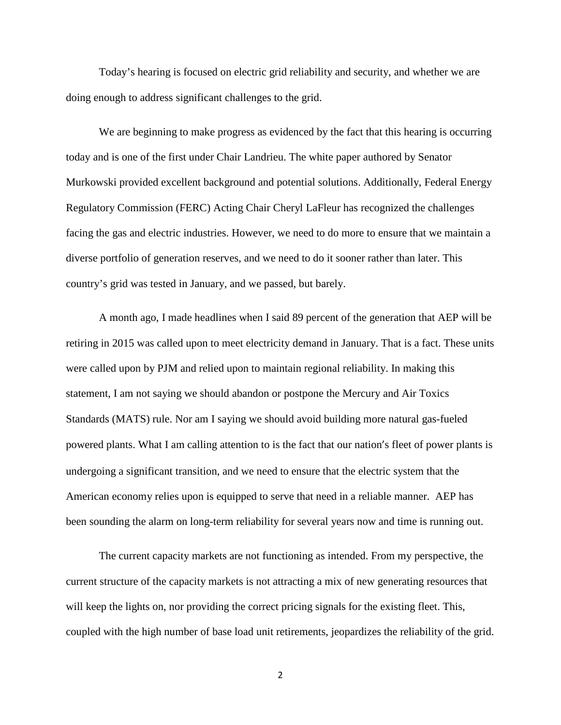Today's hearing is focused on electric grid reliability and security, and whether we are doing enough to address significant challenges to the grid.

We are beginning to make progress as evidenced by the fact that this hearing is occurring today and is one of the first under Chair Landrieu. The white paper authored by Senator Murkowski provided excellent background and potential solutions. Additionally, Federal Energy Regulatory Commission (FERC) Acting Chair Cheryl LaFleur has recognized the challenges facing the gas and electric industries. However, we need to do more to ensure that we maintain a diverse portfolio of generation reserves, and we need to do it sooner rather than later. This country's grid was tested in January, and we passed, but barely.

A month ago, I made headlines when I said 89 percent of the generation that AEP will be retiring in 2015 was called upon to meet electricity demand in January. That is a fact. These units were called upon by PJM and relied upon to maintain regional reliability. In making this statement, I am not saying we should abandon or postpone the Mercury and Air Toxics Standards (MATS) rule. Nor am I saying we should avoid building more natural gas-fueled powered plants. What I am calling attention to is the fact that our nation's fleet of power plants is undergoing a significant transition, and we need to ensure that the electric system that the American economy relies upon is equipped to serve that need in a reliable manner. AEP has been sounding the alarm on long-term reliability for several years now and time is running out.

The current capacity markets are not functioning as intended. From my perspective, the current structure of the capacity markets is not attracting a mix of new generating resources that will keep the lights on, nor providing the correct pricing signals for the existing fleet. This, coupled with the high number of base load unit retirements, jeopardizes the reliability of the grid.

2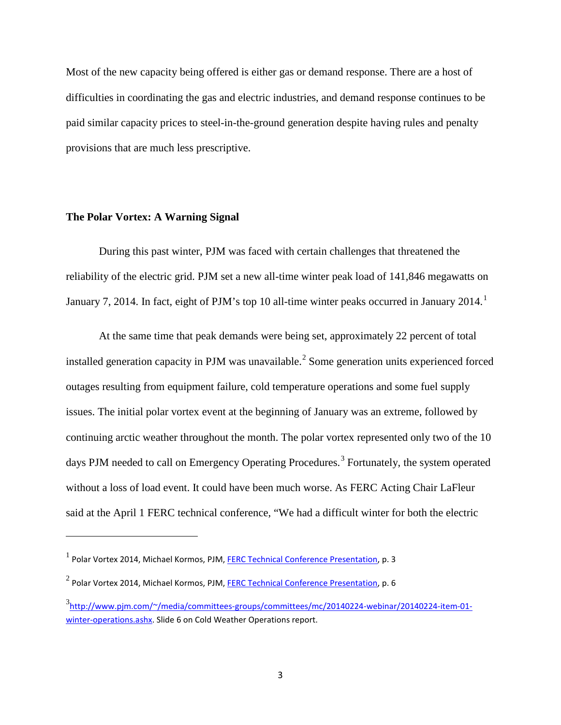Most of the new capacity being offered is either gas or demand response. There are a host of difficulties in coordinating the gas and electric industries, and demand response continues to be paid similar capacity prices to steel-in-the-ground generation despite having rules and penalty provisions that are much less prescriptive.

#### **The Polar Vortex: A Warning Signal**

l

During this past winter, PJM was faced with certain challenges that threatened the reliability of the electric grid. PJM set a new all-time winter peak load of 141,846 megawatts on January 7, 20[1](#page-2-0)4. In fact, eight of PJM's top 10 all-time winter peaks occurred in January 2014.<sup>1</sup>

At the same time that peak demands were being set, approximately 22 percent of total installed generation capacity in PJM was unavailable.<sup>[2](#page-2-1)</sup> Some generation units experienced forced outages resulting from equipment failure, cold temperature operations and some fuel supply issues. The initial polar vortex event at the beginning of January was an extreme, followed by continuing arctic weather throughout the month. The polar vortex represented only two of the 10 days PJM needed to call on Emergency Operating Procedures.<sup>[3](#page-2-2)</sup> Fortunately, the system operated without a loss of load event. It could have been much worse. As FERC Acting Chair LaFleur said at the April 1 FERC technical conference, "We had a difficult winter for both the electric

<span id="page-2-0"></span> $<sup>1</sup>$  Polar Vortex 2014, Michael Kormos, PJM, FERC Technical Conference [Presentation,](http://www.ferc.gov/calendarfiles/20140401084146-kormos,%2520pjm%2520slides.pdf) p. 3</sup>

<span id="page-2-1"></span> $2$  Polar Vortex 2014, Michael Kormos, PJM, FERC Technical Conference [Presentation,](http://www.ferc.gov/calendarfiles/20140401084146-kormos,%2520pjm%2520slides.pdf) p. 6

<span id="page-2-2"></span><sup>3</sup> [http://www.pjm.com/~/media/committees-groups/committees/mc/20140224-webinar/20140224-item-01](http://www.pjm.com/~/media/committees-groups/committees/mc/20140224-webinar/20140224-item-01-winter-operations.ashx) [winter-operations.ashx.](http://www.pjm.com/~/media/committees-groups/committees/mc/20140224-webinar/20140224-item-01-winter-operations.ashx) Slide 6 on Cold Weather Operations report.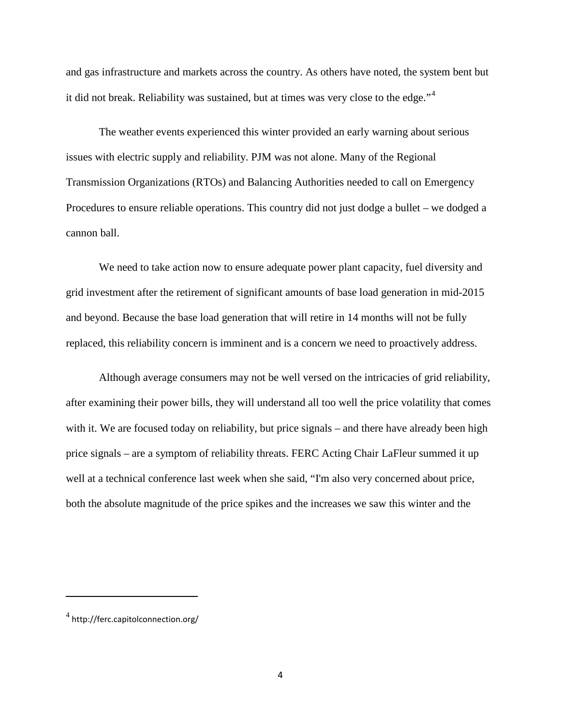and gas infrastructure and markets across the country. As others have noted, the system bent but it did not break. Reliability was sustained, but at times was very close to the edge."<sup>[4](#page-3-0)</sup>

The weather events experienced this winter provided an early warning about serious issues with electric supply and reliability. PJM was not alone. Many of the Regional Transmission Organizations (RTOs) and Balancing Authorities needed to call on Emergency Procedures to ensure reliable operations. This country did not just dodge a bullet – we dodged a cannon ball.

We need to take action now to ensure adequate power plant capacity, fuel diversity and grid investment after the retirement of significant amounts of base load generation in mid-2015 and beyond. Because the base load generation that will retire in 14 months will not be fully replaced, this reliability concern is imminent and is a concern we need to proactively address.

Although average consumers may not be well versed on the intricacies of grid reliability, after examining their power bills, they will understand all too well the price volatility that comes with it. We are focused today on reliability, but price signals – and there have already been high price signals – are a symptom of reliability threats. FERC Acting Chair LaFleur summed it up well at a technical conference last week when she said, "I'm also very concerned about price, both the absolute magnitude of the price spikes and the increases we saw this winter and the

<span id="page-3-0"></span> $4$  http://ferc.capitolconnection.org/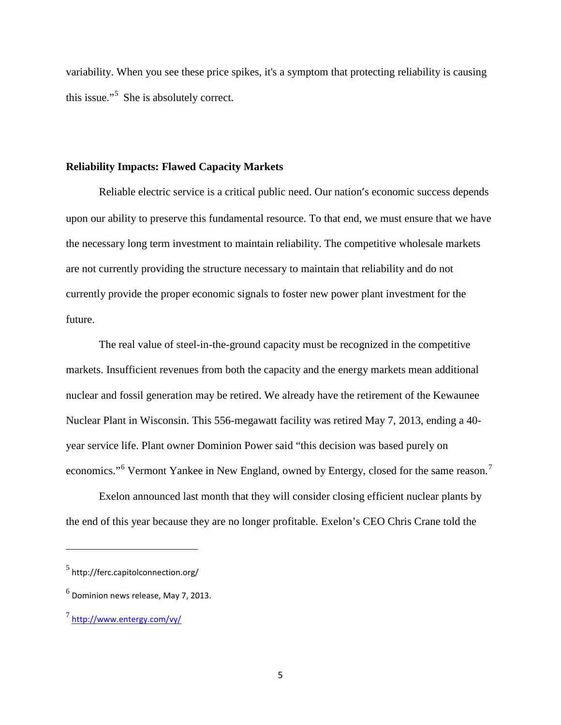variability. When you see these price spikes, it's a symptom that protecting reliability is causing this issue."<sup>[5](#page-4-0)</sup> She is absolutely correct.

#### **Reliability Impacts: Flawed Capacity Markets**

Reliable electric service is a critical public need. Our nation's economic success depends upon our ability to preserve this fundamental resource. To that end, we must ensure that we have the necessary long term investment to maintain reliability. The competitive wholesale markets are not currently providing the structure necessary to maintain that reliability and do not currently provide the proper economic signals to foster new power plant investment for the future.

The real value of steel-in-the-ground capacity must be recognized in the competitive markets. Insufficient revenues from both the capacity and the energy markets mean additional nuclear and fossil generation may be retired. We already have the retirement of the Kewaunee Nuclear Plant in Wisconsin. This 556-megawatt facility was retired May 7, 2013, ending a 40 year service life. Plant owner Dominion Power said "this decision was based purely on economics."<sup>[6](#page-4-1)</sup> Vermont Yankee in New England, owned by Entergy, closed for the same reason.<sup>[7](#page-4-2)</sup>

Exelon announced last month that they will consider closing efficient nuclear plants by the end of this year because they are no longer profitable. Exelon's CEO Chris Crane told the

<span id="page-4-0"></span> $<sup>5</sup>$  http://ferc.capitolconnection.org/</sup>

<span id="page-4-1"></span> $<sup>6</sup>$  Dominion news release, May 7, 2013.</sup>

<span id="page-4-2"></span> $^7$  <http://www.entergy.com/vy/>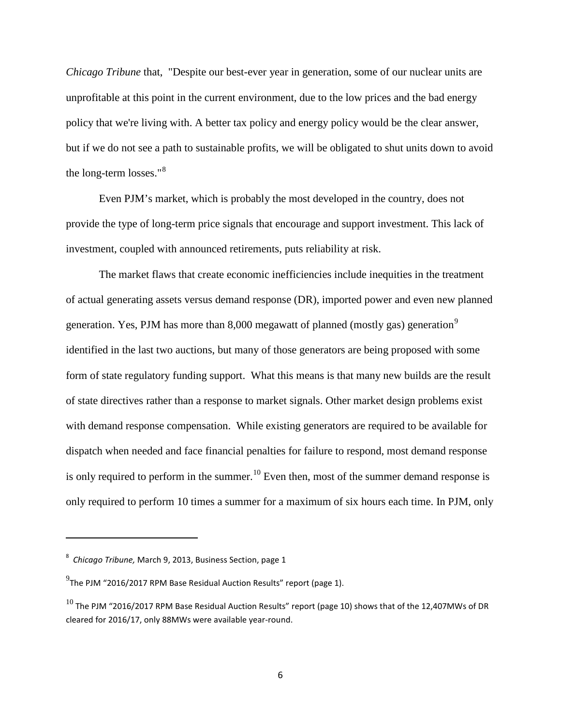*Chicago Tribune* that, "Despite our best-ever year in generation, some of our nuclear units are unprofitable at this point in the current environment, due to the low prices and the bad energy policy that we're living with. A better tax policy and energy policy would be the clear answer, but if we do not see a path to sustainable profits, we will be obligated to shut units down to avoid the long-term losses."<sup>[8](#page-5-0)</sup>

Even PJM's market, which is probably the most developed in the country, does not provide the type of long-term price signals that encourage and support investment. This lack of investment, coupled with announced retirements, puts reliability at risk.

The market flaws that create economic inefficiencies include inequities in the treatment of actual generating assets versus demand response (DR), imported power and even new planned generation. Yes, PJM has more than 8,000 megawatt of planned (mostly gas) generation<sup>[9](#page-5-1)</sup> identified in the last two auctions, but many of those generators are being proposed with some form of state regulatory funding support. What this means is that many new builds are the result of state directives rather than a response to market signals. Other market design problems exist with demand response compensation. While existing generators are required to be available for dispatch when needed and face financial penalties for failure to respond, most demand response is only required to perform in the summer.<sup>[10](#page-5-2)</sup> Even then, most of the summer demand response is only required to perform 10 times a summer for a maximum of six hours each time. In PJM, only

<span id="page-5-0"></span><sup>8</sup> *Chicago Tribune,* March 9, 2013, Business Section, page 1

<span id="page-5-1"></span> $^{9}$ The PJM "2016/2017 RPM Base Residual Auction Results" report (page 1).

<span id="page-5-2"></span> $^{10}$  The PJM "2016/2017 RPM Base Residual Auction Results" report (page 10) shows that of the 12,407MWs of DR cleared for 2016/17, only 88MWs were available year-round.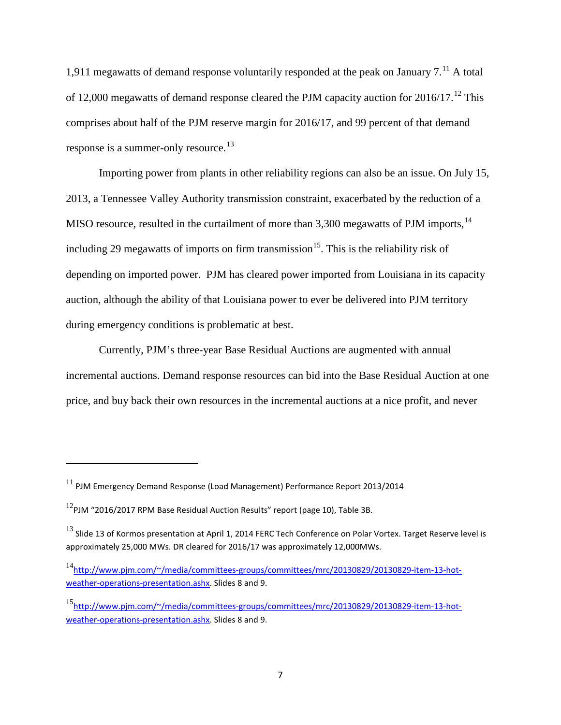1,9[11](#page-6-0) megawatts of demand response voluntarily responded at the peak on January  $7<sup>11</sup>$  A total of [12](#page-6-1),000 megawatts of demand response cleared the PJM capacity auction for  $2016/17$ .<sup>12</sup> This comprises about half of the PJM reserve margin for 2016/17, and 99 percent of that demand response is a summer-only resource.<sup>[13](#page-6-2)</sup>

Importing power from plants in other reliability regions can also be an issue. On July 15, 2013, a Tennessee Valley Authority transmission constraint, exacerbated by the reduction of a MISO resource, resulted in the curtailment of more than  $3,300$  megawatts of PJM imports,  $14$ including 29 megawatts of imports on firm transmission<sup>[15](#page-6-4)</sup>. This is the reliability risk of depending on imported power. PJM has cleared power imported from Louisiana in its capacity auction, although the ability of that Louisiana power to ever be delivered into PJM territory during emergency conditions is problematic at best.

Currently, PJM's three-year Base Residual Auctions are augmented with annual incremental auctions. Demand response resources can bid into the Base Residual Auction at one price, and buy back their own resources in the incremental auctions at a nice profit, and never

<span id="page-6-0"></span><sup>11</sup> PJM Emergency Demand Response (Load Management) Performance Report 2013/2014

<span id="page-6-1"></span> $12$ PJM "2016/2017 RPM Base Residual Auction Results" report (page 10), Table 3B.

<span id="page-6-2"></span> $^{13}$  Slide 13 of Kormos presentation at April 1, 2014 FERC Tech Conference on Polar Vortex. Target Reserve level is approximately 25,000 MWs. DR cleared for 2016/17 was approximately 12,000MWs.

<span id="page-6-3"></span><sup>&</sup>lt;sup>14</sup>[http://www.pjm.com/~/media/committees-groups/committees/mrc/20130829/20130829-item-13-hot](http://www.pjm.com/~/media/committees-groups/committees/mrc/20130829/20130829-item-13-hot-weather-operations-presentation.ashx)[weather-operations-presentation.ashx.](http://www.pjm.com/~/media/committees-groups/committees/mrc/20130829/20130829-item-13-hot-weather-operations-presentation.ashx) Slides 8 and 9.

<span id="page-6-4"></span><sup>15</sup>[http://www.pjm.com/~/media/committees-groups/committees/mrc/20130829/20130829-item-13-hot](http://www.pjm.com/~/media/committees-groups/committees/mrc/20130829/20130829-item-13-hot-weather-operations-presentation.ashx)[weather-operations-presentation.ashx.](http://www.pjm.com/~/media/committees-groups/committees/mrc/20130829/20130829-item-13-hot-weather-operations-presentation.ashx) Slides 8 and 9.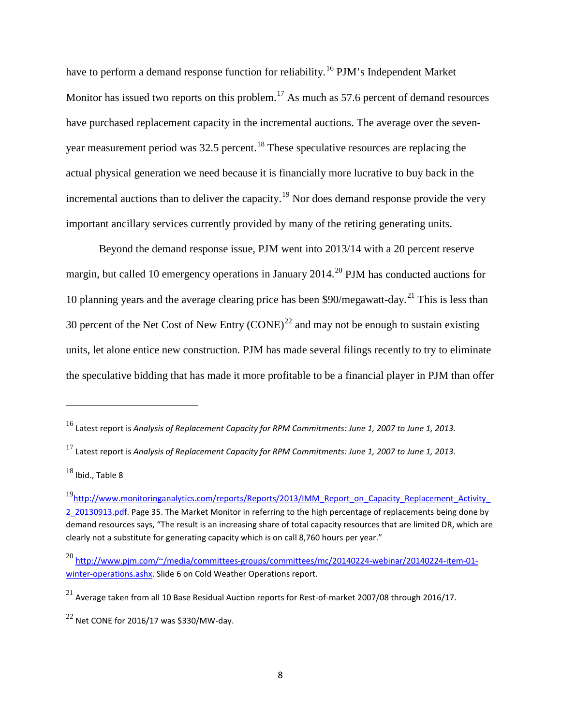have to perform a demand response function for reliability.<sup>[16](#page-7-0)</sup> PJM's Independent Market Monitor has issued two reports on this problem.<sup>[17](#page-7-1)</sup> As much as 57.6 percent of demand resources have purchased replacement capacity in the incremental auctions. The average over the seven-year measurement period was 32.5 percent.<sup>[18](#page-7-2)</sup> These speculative resources are replacing the actual physical generation we need because it is financially more lucrative to buy back in the incremental auctions than to deliver the capacity.<sup>[19](#page-7-3)</sup> Nor does demand response provide the very important ancillary services currently provided by many of the retiring generating units.

Beyond the demand response issue, PJM went into 2013/14 with a 20 percent reserve margin, but called 10 emergency operations in January [20](#page-7-4)14.<sup>20</sup> PJM has conducted auctions for 10 planning years and the average clearing price has been  $$90/megawat-day.<sup>21</sup>$  $$90/megawat-day.<sup>21</sup>$  $$90/megawat-day.<sup>21</sup>$  This is less than 30 percent of the Net Cost of New Entry  $(CONE)^{22}$  $(CONE)^{22}$  $(CONE)^{22}$  and may not be enough to sustain existing units, let alone entice new construction. PJM has made several filings recently to try to eliminate the speculative bidding that has made it more profitable to be a financial player in PJM than offer

<span id="page-7-0"></span><sup>16</sup> Latest report is *Analysis of Replacement Capacity for RPM Commitments: June 1, 2007 to June 1, 2013.*

<span id="page-7-1"></span><sup>17</sup> Latest report is *Analysis of Replacement Capacity for RPM Commitments: June 1, 2007 to June 1, 2013.*

<span id="page-7-2"></span> $18$  Ibid., Table 8

<span id="page-7-3"></span><sup>&</sup>lt;sup>19</sup>[http://www.monitoringanalytics.com/reports/Reports/2013/IMM\\_Report\\_on\\_Capacity\\_Replacement\\_Activity\\_](http://www.monitoringanalytics.com/reports/Reports/2013/IMM_Report_on_Capacity_Replacement_Activity_2_20130913.pdf) [2\\_20130913.pdf.](http://www.monitoringanalytics.com/reports/Reports/2013/IMM_Report_on_Capacity_Replacement_Activity_2_20130913.pdf) Page 35. The Market Monitor in referring to the high percentage of replacements being done by demand resources says, "The result is an increasing share of total capacity resources that are limited DR, which are clearly not a substitute for generating capacity which is on call 8,760 hours per year."

<span id="page-7-4"></span><sup>20</sup> [http://www.pjm.com/~/media/committees-groups/committees/mc/20140224-webinar/20140224-item-01](http://www.pjm.com/~/media/committees-groups/committees/mc/20140224-webinar/20140224-item-01-winter-operations.ashx) [winter-operations.ashx.](http://www.pjm.com/~/media/committees-groups/committees/mc/20140224-webinar/20140224-item-01-winter-operations.ashx) Slide 6 on Cold Weather Operations report.

<span id="page-7-5"></span> $^{21}$  Average taken from all 10 Base Residual Auction reports for Rest-of-market 2007/08 through 2016/17.

<span id="page-7-6"></span> $^{22}$  Net CONE for 2016/17 was \$330/MW-day.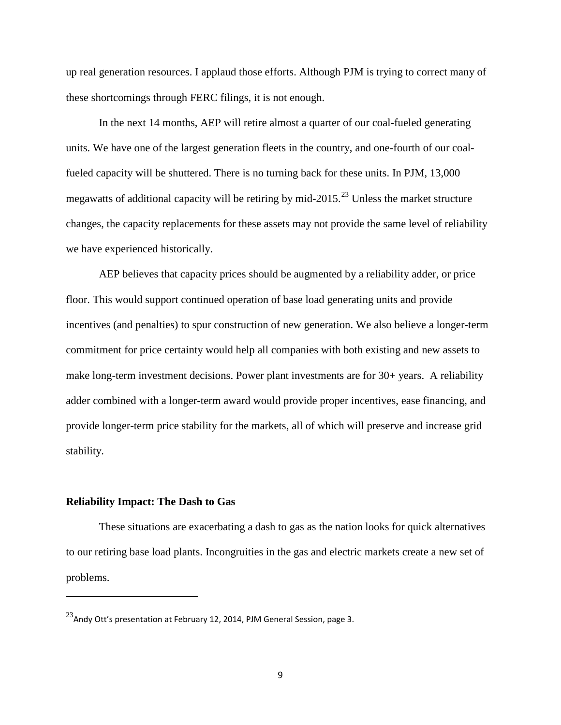up real generation resources. I applaud those efforts. Although PJM is trying to correct many of these shortcomings through FERC filings, it is not enough.

In the next 14 months, AEP will retire almost a quarter of our coal-fueled generating units. We have one of the largest generation fleets in the country, and one-fourth of our coalfueled capacity will be shuttered. There is no turning back for these units. In PJM, 13,000 megawatts of additional capacity will be retiring by mid-2015.<sup>[23](#page-8-0)</sup> Unless the market structure changes, the capacity replacements for these assets may not provide the same level of reliability we have experienced historically.

AEP believes that capacity prices should be augmented by a reliability adder, or price floor. This would support continued operation of base load generating units and provide incentives (and penalties) to spur construction of new generation. We also believe a longer-term commitment for price certainty would help all companies with both existing and new assets to make long-term investment decisions. Power plant investments are for 30+ years. A reliability adder combined with a longer-term award would provide proper incentives, ease financing, and provide longer-term price stability for the markets, all of which will preserve and increase grid stability.

#### **Reliability Impact: The Dash to Gas**

 $\overline{\phantom{a}}$ 

These situations are exacerbating a dash to gas as the nation looks for quick alternatives to our retiring base load plants. Incongruities in the gas and electric markets create a new set of problems.

<span id="page-8-0"></span> $^{23}$ Andy Ott's presentation at February 12, 2014, PJM General Session, page 3.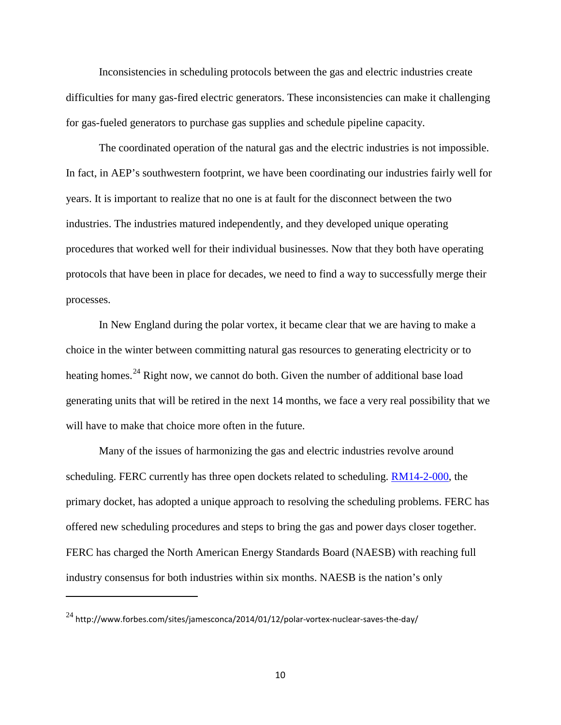Inconsistencies in scheduling protocols between the gas and electric industries create difficulties for many gas-fired electric generators. These inconsistencies can make it challenging for gas-fueled generators to purchase gas supplies and schedule pipeline capacity.

The coordinated operation of the natural gas and the electric industries is not impossible. In fact, in AEP's southwestern footprint, we have been coordinating our industries fairly well for years. It is important to realize that no one is at fault for the disconnect between the two industries. The industries matured independently, and they developed unique operating procedures that worked well for their individual businesses. Now that they both have operating protocols that have been in place for decades, we need to find a way to successfully merge their processes.

In New England during the polar vortex, it became clear that we are having to make a choice in the winter between committing natural gas resources to generating electricity or to heating homes.<sup>[24](#page-9-0)</sup> Right now, we cannot do both. Given the number of additional base load generating units that will be retired in the next 14 months, we face a very real possibility that we will have to make that choice more often in the future.

Many of the issues of harmonizing the gas and electric industries revolve around scheduling. FERC currently has three open dockets related to scheduling. [RM14-2-000,](http://www.ferc.gov/whats-new/comm-meet/2014/032014/m-1.pdf) the primary docket, has adopted a unique approach to resolving the scheduling problems. FERC has offered new scheduling procedures and steps to bring the gas and power days closer together. FERC has charged the North American Energy Standards Board (NAESB) with reaching full industry consensus for both industries within six months. NAESB is the nation's only

<span id="page-9-0"></span> $^{24}$  http://www.forbes.com/sites/jamesconca/2014/01/12/polar-vortex-nuclear-saves-the-day/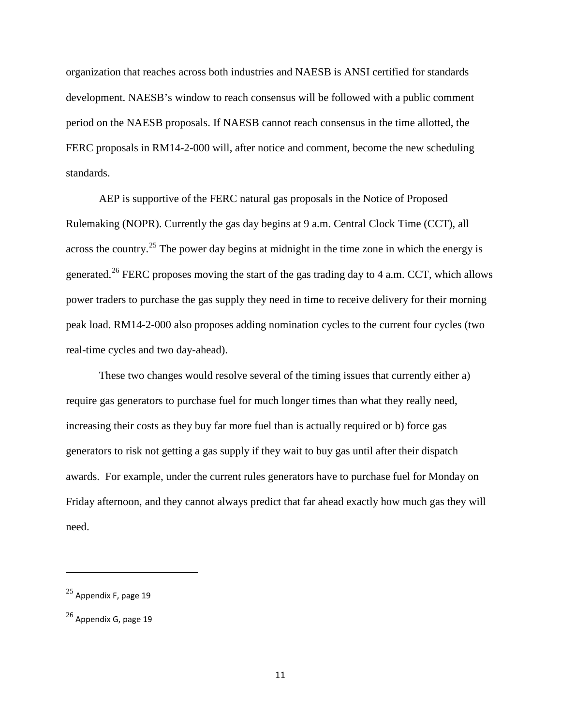organization that reaches across both industries and NAESB is ANSI certified for standards development. NAESB's window to reach consensus will be followed with a public comment period on the NAESB proposals. If NAESB cannot reach consensus in the time allotted, the FERC proposals in RM14-2-000 will, after notice and comment, become the new scheduling standards.

AEP is supportive of the FERC natural gas proposals in the Notice of Proposed Rulemaking (NOPR). Currently the gas day begins at 9 a.m. Central Clock Time (CCT), all across the country.<sup>[25](#page-10-0)</sup> The power day begins at midnight in the time zone in which the energy is generated.<sup>[26](#page-10-1)</sup> FERC proposes moving the start of the gas trading day to 4 a.m. CCT, which allows power traders to purchase the gas supply they need in time to receive delivery for their morning peak load. RM14-2-000 also proposes adding nomination cycles to the current four cycles (two real-time cycles and two day-ahead).

These two changes would resolve several of the timing issues that currently either a) require gas generators to purchase fuel for much longer times than what they really need, increasing their costs as they buy far more fuel than is actually required or b) force gas generators to risk not getting a gas supply if they wait to buy gas until after their dispatch awards. For example, under the current rules generators have to purchase fuel for Monday on Friday afternoon, and they cannot always predict that far ahead exactly how much gas they will need.

<span id="page-10-0"></span> $25$  Appendix F, page 19

<span id="page-10-1"></span> $^{26}$  Appendix G, page 19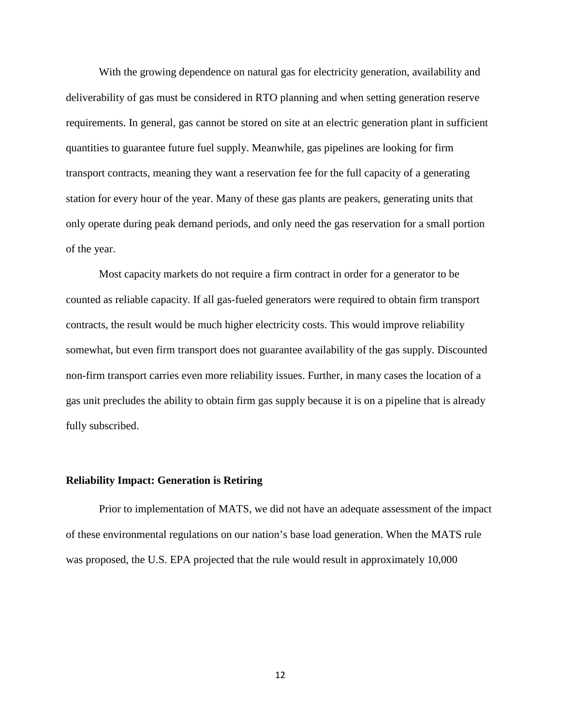With the growing dependence on natural gas for electricity generation, availability and deliverability of gas must be considered in RTO planning and when setting generation reserve requirements. In general, gas cannot be stored on site at an electric generation plant in sufficient quantities to guarantee future fuel supply. Meanwhile, gas pipelines are looking for firm transport contracts, meaning they want a reservation fee for the full capacity of a generating station for every hour of the year. Many of these gas plants are peakers, generating units that only operate during peak demand periods, and only need the gas reservation for a small portion of the year.

Most capacity markets do not require a firm contract in order for a generator to be counted as reliable capacity. If all gas-fueled generators were required to obtain firm transport contracts, the result would be much higher electricity costs. This would improve reliability somewhat, but even firm transport does not guarantee availability of the gas supply. Discounted non-firm transport carries even more reliability issues. Further, in many cases the location of a gas unit precludes the ability to obtain firm gas supply because it is on a pipeline that is already fully subscribed.

#### **Reliability Impact: Generation is Retiring**

Prior to implementation of MATS, we did not have an adequate assessment of the impact of these environmental regulations on our nation's base load generation. When the MATS rule was proposed, the U.S. EPA projected that the rule would result in approximately 10,000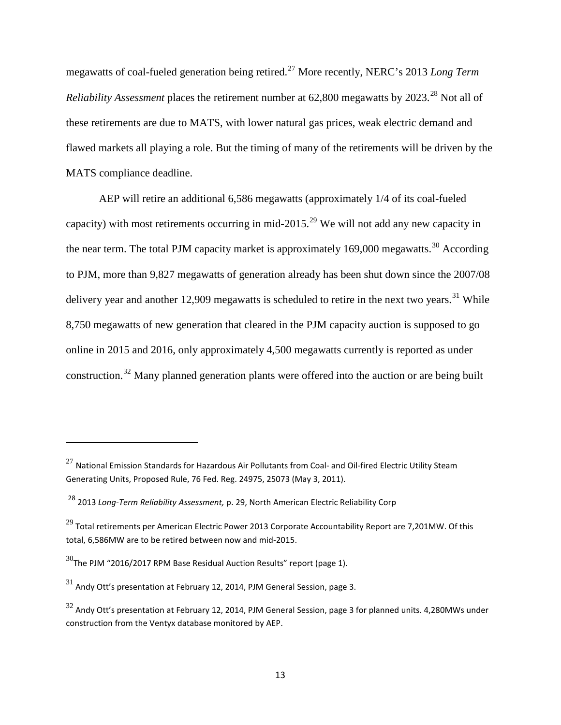megawatts of coal-fueled generation being retired.[27](#page-12-0) More recently, NERC's 2013 *Long Term Reliability Assessment* places the retirement number at 62,800 megawatts by 2023.<sup>[28](#page-12-1)</sup> Not all of these retirements are due to MATS, with lower natural gas prices, weak electric demand and flawed markets all playing a role. But the timing of many of the retirements will be driven by the MATS compliance deadline.

AEP will retire an additional 6,586 megawatts (approximately 1/4 of its coal-fueled capacity) with most retirements occurring in mid-2015.<sup>[29](#page-12-2)</sup> We will not add any new capacity in the near term. The total PJM capacity market is approximately 169,000 megawatts.<sup>[30](#page-12-3)</sup> According to PJM, more than 9,827 megawatts of generation already has been shut down since the 2007/08 delivery year and another 12,909 megawatts is scheduled to retire in the next two years.<sup>[31](#page-12-4)</sup> While 8,750 megawatts of new generation that cleared in the PJM capacity auction is supposed to go online in 2015 and 2016, only approximately 4,500 megawatts currently is reported as under construction.[32](#page-12-5) Many planned generation plants were offered into the auction or are being built

l

<span id="page-12-0"></span> $^{27}$  National Emission Standards for Hazardous Air Pollutants from Coal- and Oil-fired Electric Utility Steam Generating Units, Proposed Rule, 76 Fed. Reg. 24975, 25073 (May 3, 2011).

<span id="page-12-1"></span><sup>28</sup> 2013 *Long-Term Reliability Assessment,* p. 29, North American Electric Reliability Corp

<span id="page-12-2"></span> $^{29}$  Total retirements per American Electric Power 2013 Corporate Accountability Report are 7,201MW. Of this total, 6,586MW are to be retired between now and mid-2015.

<span id="page-12-3"></span> $30$ The PJM "2016/2017 RPM Base Residual Auction Results" report (page 1).

<span id="page-12-4"></span> $31$  Andy Ott's presentation at February 12, 2014, PJM General Session, page 3.

<span id="page-12-5"></span> $32$  Andy Ott's presentation at February 12, 2014, PJM General Session, page 3 for planned units. 4,280MWs under construction from the Ventyx database monitored by AEP.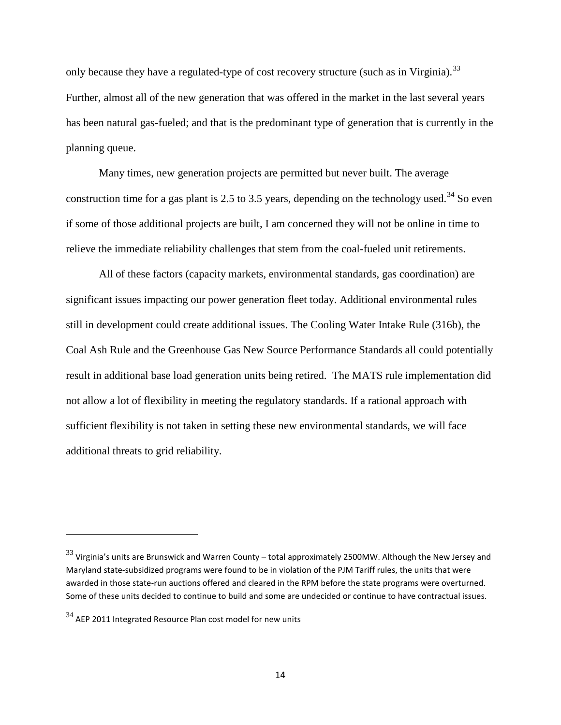only because they have a regulated-type of cost recovery structure (such as in Virginia).<sup>[33](#page-13-0)</sup> Further, almost all of the new generation that was offered in the market in the last several years has been natural gas-fueled; and that is the predominant type of generation that is currently in the planning queue.

Many times, new generation projects are permitted but never built. The average construction time for a gas plant is 2.5 to 3.5 years, depending on the technology used.<sup>[34](#page-13-1)</sup> So even if some of those additional projects are built, I am concerned they will not be online in time to relieve the immediate reliability challenges that stem from the coal-fueled unit retirements.

All of these factors (capacity markets, environmental standards, gas coordination) are significant issues impacting our power generation fleet today. Additional environmental rules still in development could create additional issues. The Cooling Water Intake Rule (316b), the Coal Ash Rule and the Greenhouse Gas New Source Performance Standards all could potentially result in additional base load generation units being retired. The MATS rule implementation did not allow a lot of flexibility in meeting the regulatory standards. If a rational approach with sufficient flexibility is not taken in setting these new environmental standards, we will face additional threats to grid reliability.

<span id="page-13-0"></span> $33$  Virginia's units are Brunswick and Warren County – total approximately 2500MW. Although the New Jersey and Maryland state-subsidized programs were found to be in violation of the PJM Tariff rules, the units that were awarded in those state-run auctions offered and cleared in the RPM before the state programs were overturned. Some of these units decided to continue to build and some are undecided or continue to have contractual issues.

<span id="page-13-1"></span> $34$  AEP 2011 Integrated Resource Plan cost model for new units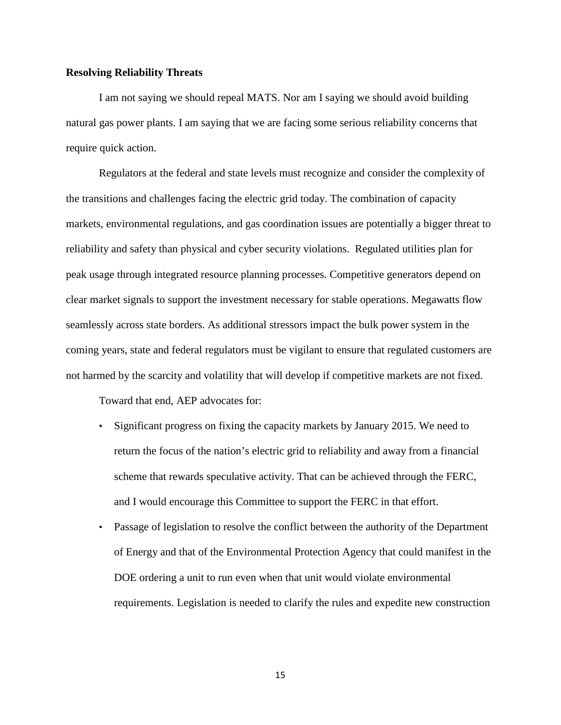#### **Resolving Reliability Threats**

I am not saying we should repeal MATS. Nor am I saying we should avoid building natural gas power plants. I am saying that we are facing some serious reliability concerns that require quick action.

Regulators at the federal and state levels must recognize and consider the complexity of the transitions and challenges facing the electric grid today. The combination of capacity markets, environmental regulations, and gas coordination issues are potentially a bigger threat to reliability and safety than physical and cyber security violations. Regulated utilities plan for peak usage through integrated resource planning processes. Competitive generators depend on clear market signals to support the investment necessary for stable operations. Megawatts flow seamlessly across state borders. As additional stressors impact the bulk power system in the coming years, state and federal regulators must be vigilant to ensure that regulated customers are not harmed by the scarcity and volatility that will develop if competitive markets are not fixed.

Toward that end, AEP advocates for:

- Significant progress on fixing the capacity markets by January 2015. We need to return the focus of the nation's electric grid to reliability and away from a financial scheme that rewards speculative activity. That can be achieved through the FERC, and I would encourage this Committee to support the FERC in that effort.
- Passage of legislation to resolve the conflict between the authority of the Department of Energy and that of the Environmental Protection Agency that could manifest in the DOE ordering a unit to run even when that unit would violate environmental requirements. Legislation is needed to clarify the rules and expedite new construction

15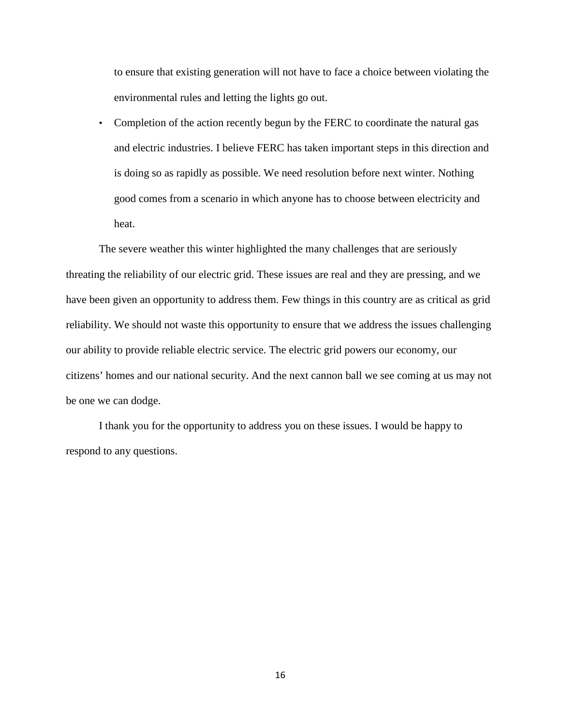to ensure that existing generation will not have to face a choice between violating the environmental rules and letting the lights go out.

• Completion of the action recently begun by the FERC to coordinate the natural gas and electric industries. I believe FERC has taken important steps in this direction and is doing so as rapidly as possible. We need resolution before next winter. Nothing good comes from a scenario in which anyone has to choose between electricity and heat.

The severe weather this winter highlighted the many challenges that are seriously threating the reliability of our electric grid. These issues are real and they are pressing, and we have been given an opportunity to address them. Few things in this country are as critical as grid reliability. We should not waste this opportunity to ensure that we address the issues challenging our ability to provide reliable electric service. The electric grid powers our economy, our citizens' homes and our national security. And the next cannon ball we see coming at us may not be one we can dodge.

I thank you for the opportunity to address you on these issues. I would be happy to respond to any questions.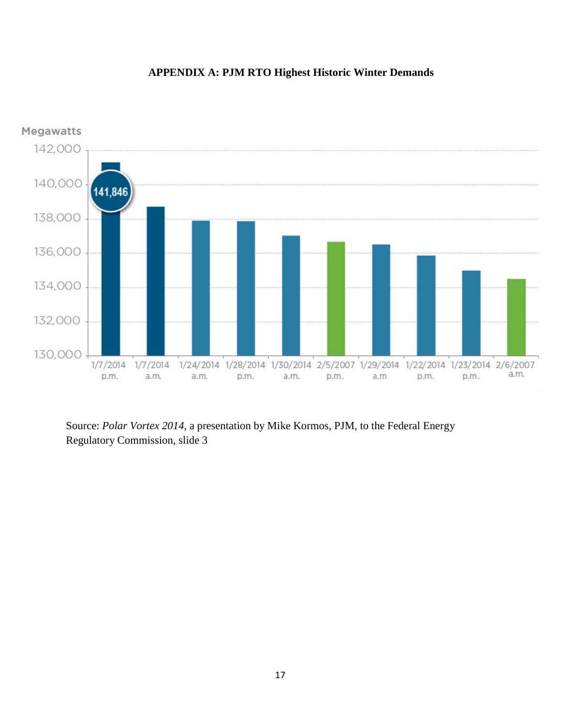## **APPENDIX A: PJM RTO Highest Historic Winter Demands**



Source: *Polar Vortex 2014*, a presentation by Mike Kormos, PJM, to the Federal Energy Regulatory Commission, slide 3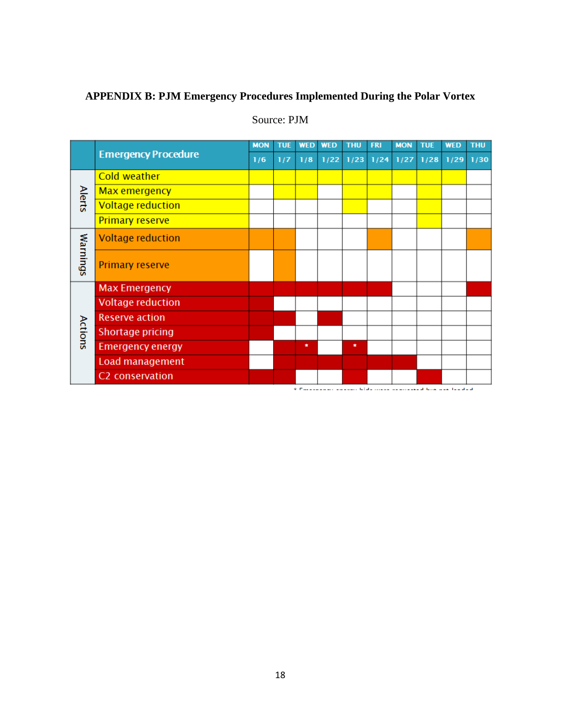## **APPENDIX B: PJM Emergency Procedures Implemented During the Polar Vortex**

|               |                            | <b>MON</b> | <b>TUE</b> | <b>WED</b> | <b>WED</b> | <b>THU</b>                    | <b>FRI</b> | <b>MON</b> | <b>TUE</b> | <b>WED</b> | <b>THU</b> |
|---------------|----------------------------|------------|------------|------------|------------|-------------------------------|------------|------------|------------|------------|------------|
|               | <b>Emergency Procedure</b> |            | 1/7        | 1/8        |            | 1/22 1/23 1/24 1/27 1/28 1/29 |            |            |            |            | 1/30       |
| <b>Alerts</b> | <b>Cold weather</b>        |            |            |            |            |                               |            |            |            |            |            |
|               | Max emergency              |            |            |            |            |                               |            |            |            |            |            |
|               | <b>Voltage reduction</b>   |            |            |            |            |                               |            |            |            |            |            |
|               | <b>Primary reserve</b>     |            |            |            |            |                               |            |            |            |            |            |
| Warnings      | <b>Voltage reduction</b>   |            |            |            |            |                               |            |            |            |            |            |
|               | <b>Primary reserve</b>     |            |            |            |            |                               |            |            |            |            |            |
| Actions       | <b>Max Emergency</b>       |            |            |            |            |                               |            |            |            |            |            |
|               | <b>Voltage reduction</b>   |            |            |            |            |                               |            |            |            |            |            |
|               | <b>Reserve action</b>      |            |            |            |            |                               |            |            |            |            |            |
|               | Shortage pricing           |            |            |            |            |                               |            |            |            |            |            |
|               | <b>Emergency energy</b>    |            |            | $\bullet$  |            | $\bullet$                     |            |            |            |            |            |
|               | Load management            |            |            |            |            |                               |            |            |            |            |            |
|               | C2 conservation            |            |            |            |            |                               |            |            |            |            |            |

## Source: PJM

<u> 1988 - Johann John Barn, mars ann an t-Amhraich ann an 198</u>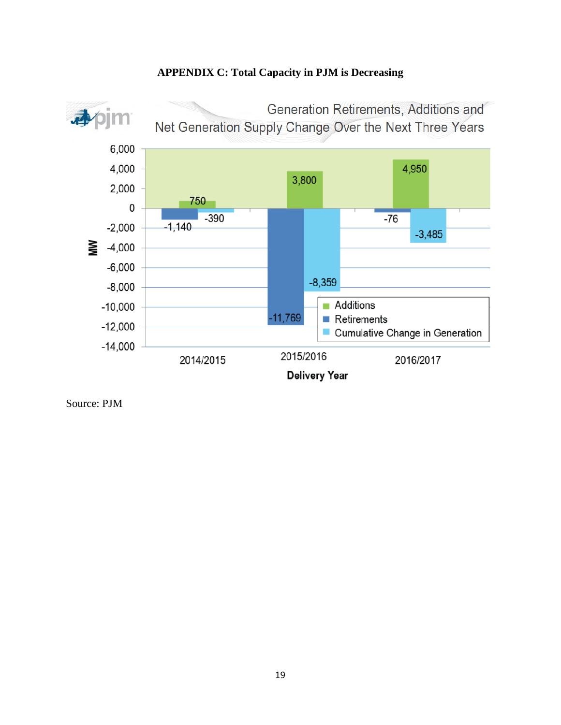

## **APPENDIX C: Total Capacity in PJM is Decreasing**

Source: PJM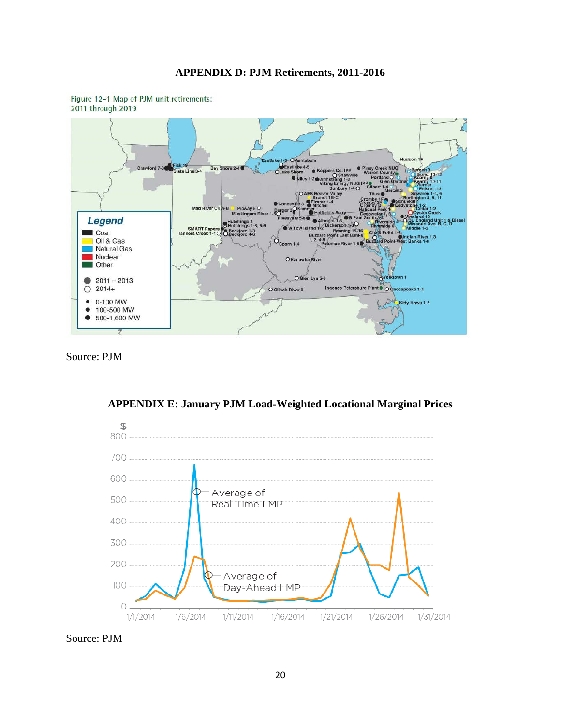### **APPENDIX D: PJM Retirements, 2011-2016**



Figure 12-1 Map of PJM unit retirements: 2011 through 2019

Source: PJM



**APPENDIX E: January PJM Load-Weighted Locational Marginal Prices**